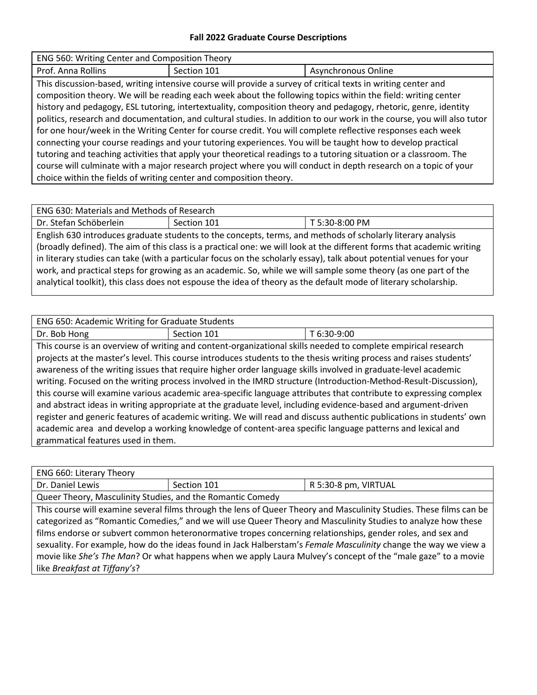## **Fall 2022 Graduate Course Descriptions**

| ENG 560: Writing Center and Composition Theory                     |             |                                                                                                                                                                                                                                                                                                                                                                                                                                                                                                                                                                                                                                                                                                                                                                                                                                                                                                                                                 |  |
|--------------------------------------------------------------------|-------------|-------------------------------------------------------------------------------------------------------------------------------------------------------------------------------------------------------------------------------------------------------------------------------------------------------------------------------------------------------------------------------------------------------------------------------------------------------------------------------------------------------------------------------------------------------------------------------------------------------------------------------------------------------------------------------------------------------------------------------------------------------------------------------------------------------------------------------------------------------------------------------------------------------------------------------------------------|--|
| Prof. Anna Rollins                                                 | Section 101 | Asynchronous Online                                                                                                                                                                                                                                                                                                                                                                                                                                                                                                                                                                                                                                                                                                                                                                                                                                                                                                                             |  |
| choice within the fields of writing center and composition theory. |             | This discussion-based, writing intensive course will provide a survey of critical texts in writing center and<br>composition theory. We will be reading each week about the following topics within the field: writing center<br>history and pedagogy, ESL tutoring, intertextuality, composition theory and pedagogy, rhetoric, genre, identity<br>politics, research and documentation, and cultural studies. In addition to our work in the course, you will also tutor<br>for one hour/week in the Writing Center for course credit. You will complete reflective responses each week<br>connecting your course readings and your tutoring experiences. You will be taught how to develop practical<br>tutoring and teaching activities that apply your theoretical readings to a tutoring situation or a classroom. The<br>course will culminate with a major research project where you will conduct in depth research on a topic of your |  |

Dr. Stefan Schöberlein Schöberlein Section 101 T 5:30-8:00 PM English 630 introduces graduate students to the concepts, terms, and methods of scholarly literary analysis (broadly defined). The aim of this class is a practical one: we will look at the different forms that academic writing in literary studies can take (with a particular focus on the scholarly essay), talk about potential venues for your work, and practical steps for growing as an academic. So, while we will sample some theory (as one part of the analytical toolkit), this class does not espouse the idea of theory as the default mode of literary scholarship.

| <b>ENG 650: Academic Writing for Graduate Students</b> |             |             |
|--------------------------------------------------------|-------------|-------------|
| Dr. Bob Hong                                           | Section 101 | T 6:30-9:00 |

This course is an overview of writing and content-organizational skills needed to complete empirical research projects at the master's level. This course introduces students to the thesis writing process and raises students' awareness of the writing issues that require higher order language skills involved in graduate-level academic writing. Focused on the writing process involved in the IMRD structure (Introduction-Method-Result-Discussion), this course will examine various academic area-specific language attributes that contribute to expressing complex and abstract ideas in writing appropriate at the graduate level, including evidence-based and argument-driven register and generic features of academic writing. We will read and discuss authentic publications in students' own academic area and develop a working knowledge of content-area specific language patterns and lexical and grammatical features used in them.

| ENG 660: Literary Theory                                                                                            |             |                      |  |
|---------------------------------------------------------------------------------------------------------------------|-------------|----------------------|--|
| Dr. Daniel Lewis                                                                                                    | Section 101 | R 5:30-8 pm, VIRTUAL |  |
| Queer Theory, Masculinity Studies, and the Romantic Comedy                                                          |             |                      |  |
| This course will examine several films through the lens of Queer Theory and Masculinity Studies. These films can be |             |                      |  |
| categorized as "Romantic Comedies," and we will use Queer Theory and Masculinity Studies to analyze how these       |             |                      |  |
| films endorse or subvert common heteronormative tropes concerning relationships, gender roles, and sex and          |             |                      |  |
| sexuality. For example, how do the ideas found in Jack Halberstam's Female Masculinity change the way we view a     |             |                      |  |
| movie like She's The Man? Or what happens when we apply Laura Mulvey's concept of the "male gaze" to a movie        |             |                      |  |
| like Breakfast at Tiffany's?                                                                                        |             |                      |  |